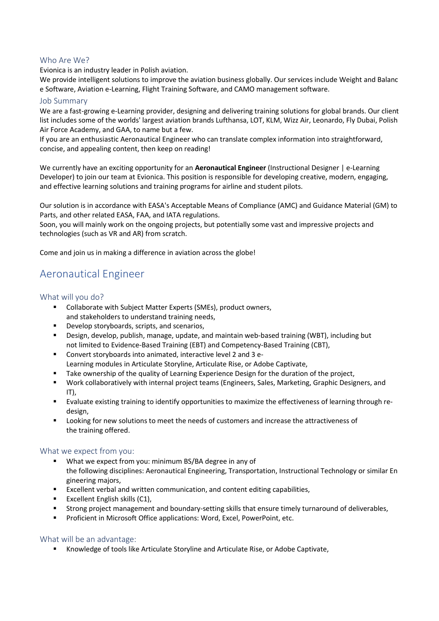## Who Are We?

Evionica is an industry leader in Polish aviation.

We provide intelligent solutions to improve the aviation business globally. Our services include Weight and Balanc e Software, Aviation e-Learning, Flight Training Software, and CAMO management software.

#### Job Summary

We are a fast-growing e-Learning provider, designing and delivering training solutions for global brands. Our client list includes some of the worlds' largest aviation brands Lufthansa, LOT, KLM, Wizz Air, Leonardo, Fly Dubai, Polish Air Force Academy, and GAA, to name but a few.

If you are an enthusiastic Aeronautical Engineer who can translate complex information into straightforward, concise, and appealing content, then keep on reading!

We currently have an exciting opportunity for an **Aeronautical Engineer** (Instructional Designer | e-Learning Developer) to join our team at Evionica. This position is responsible for developing creative, modern, engaging, and effective learning solutions and training programs for airline and student pilots.

Our solution is in accordance with EASA's Acceptable Means of Compliance (AMC) and Guidance Material (GM) to Parts, and other related EASA, FAA, and IATA regulations.

Soon, you will mainly work on the ongoing projects, but potentially some vast and impressive projects and technologies (such as VR and AR) from scratch.

Come and join us in making a difference in aviation across the globe!

# Aeronautical Engineer

#### What will you do?

- Collaborate with Subject Matter Experts (SMEs), product owners, and stakeholders to understand training needs,
- Develop storyboards, scripts, and scenarios,
- Design, develop, publish, manage, update, and maintain web-based training (WBT), including but not limited to Evidence-Based Training (EBT) and Competency-Based Training (CBT),
- Convert storyboards into animated, interactive level 2 and 3 e-Learning modules in Articulate Storyline, Articulate Rise, or Adobe Captivate,
- **■** Take ownership of the quality of Learning Experience Design for the duration of the project,
- Work collaboratively with internal project teams (Engineers, Sales, Marketing, Graphic Designers, and IT),
- Evaluate existing training to identify opportunities to maximize the effectiveness of learning through redesign,
- Looking for new solutions to meet the needs of customers and increase the attractiveness of the training offered.

#### What we expect from you:

- What we expect from you: minimum BS/BA degree in any of the following disciplines: Aeronautical Engineering, Transportation, Instructional Technology or similar En gineering majors,
- Excellent verbal and written communication, and content editing capabilities,
- Excellent English skills (C1),
- Strong project management and boundary-setting skills that ensure timely turnaround of deliverables,
- Proficient in Microsoft Office applications: Word, Excel, PowerPoint, etc.

#### What will be an advantage:

■ Knowledge of tools like Articulate Storyline and Articulate Rise, or Adobe Captivate,